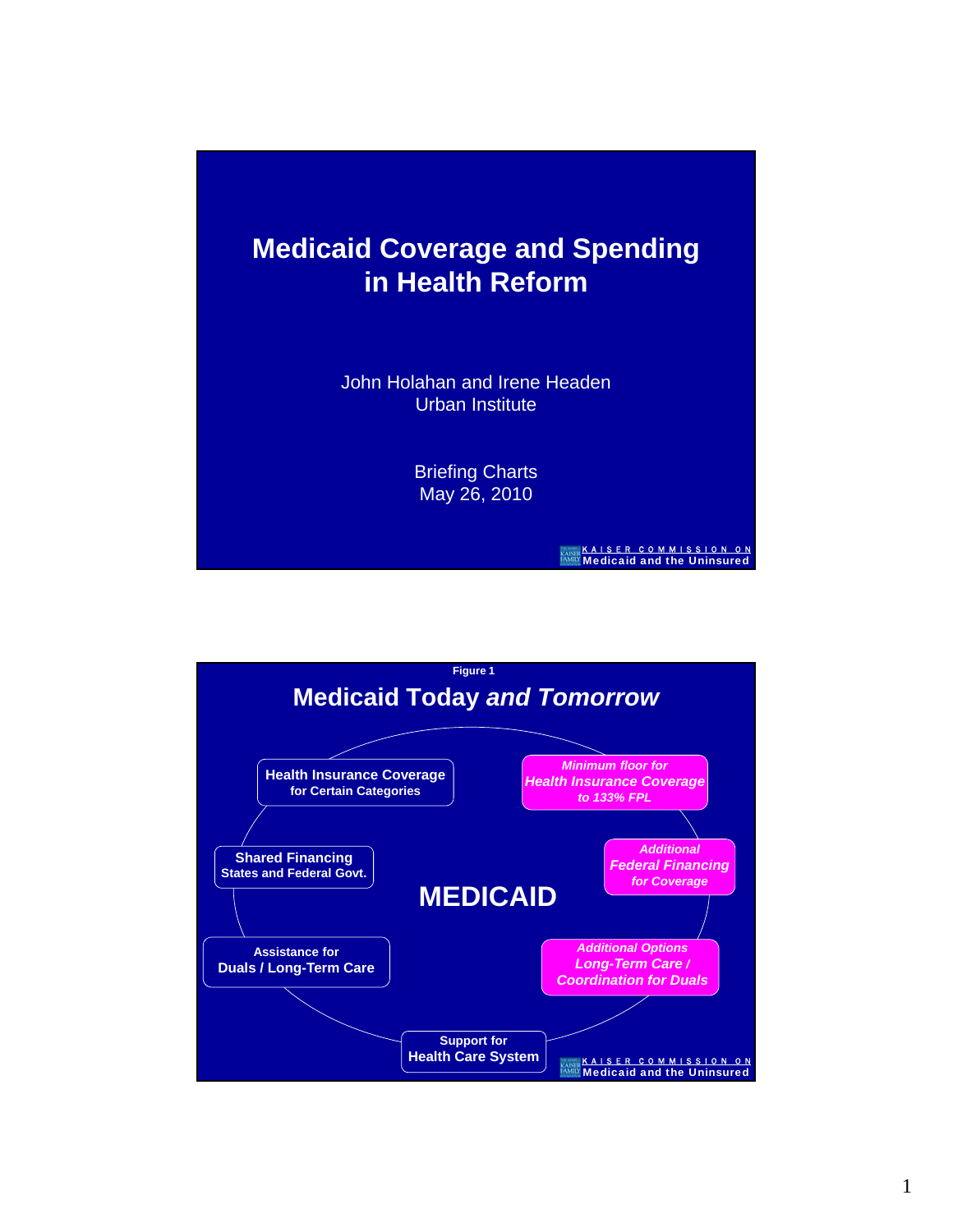

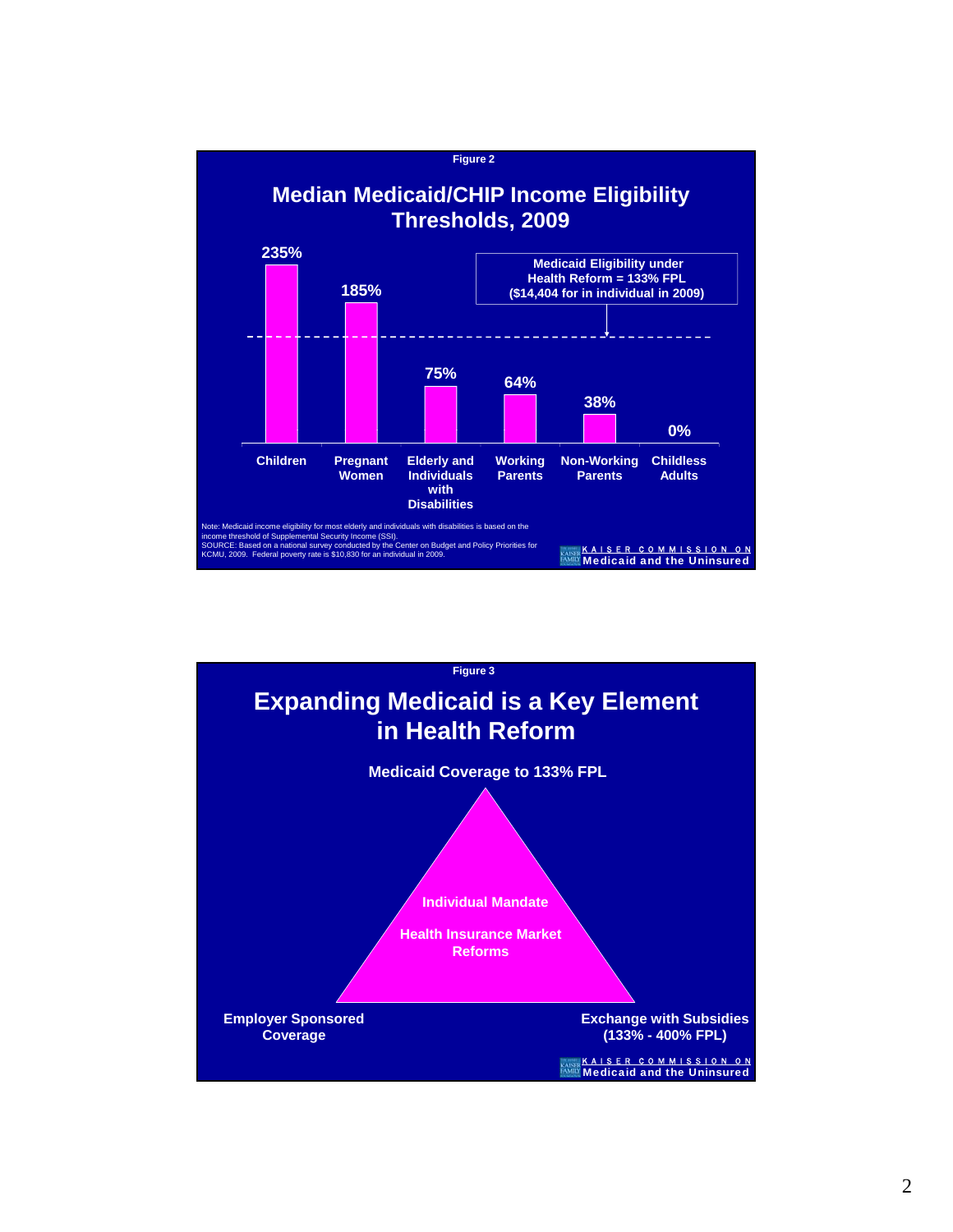

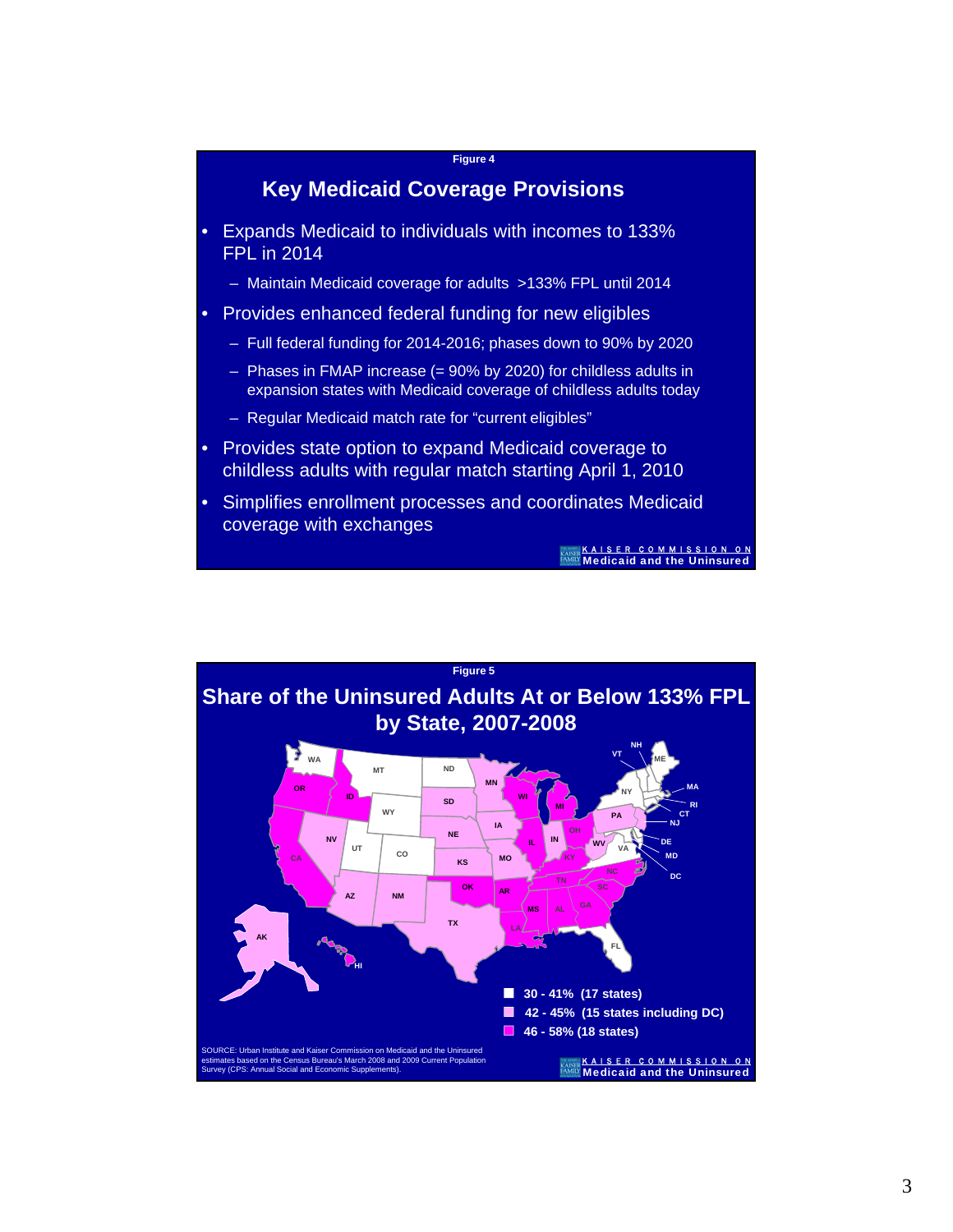

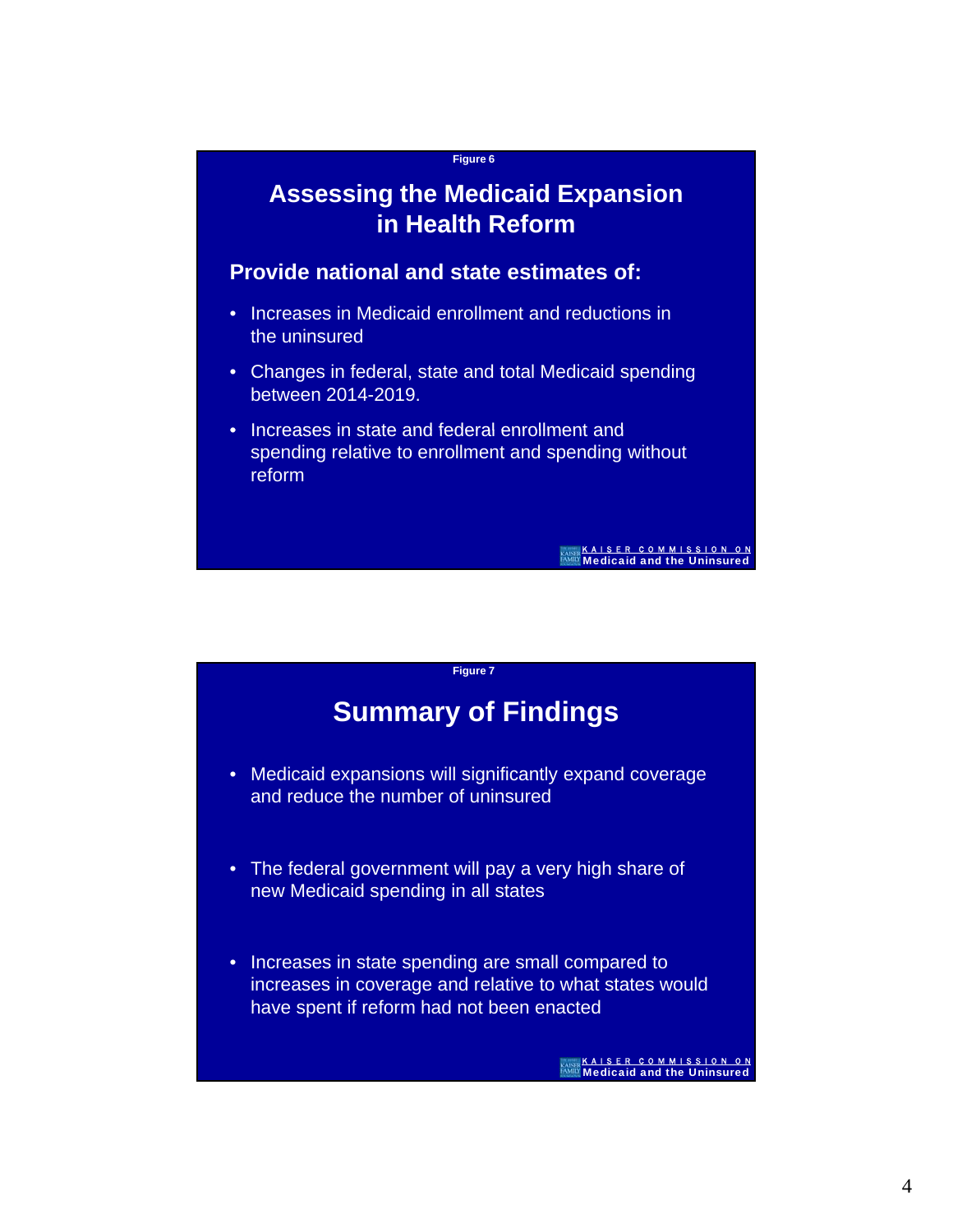

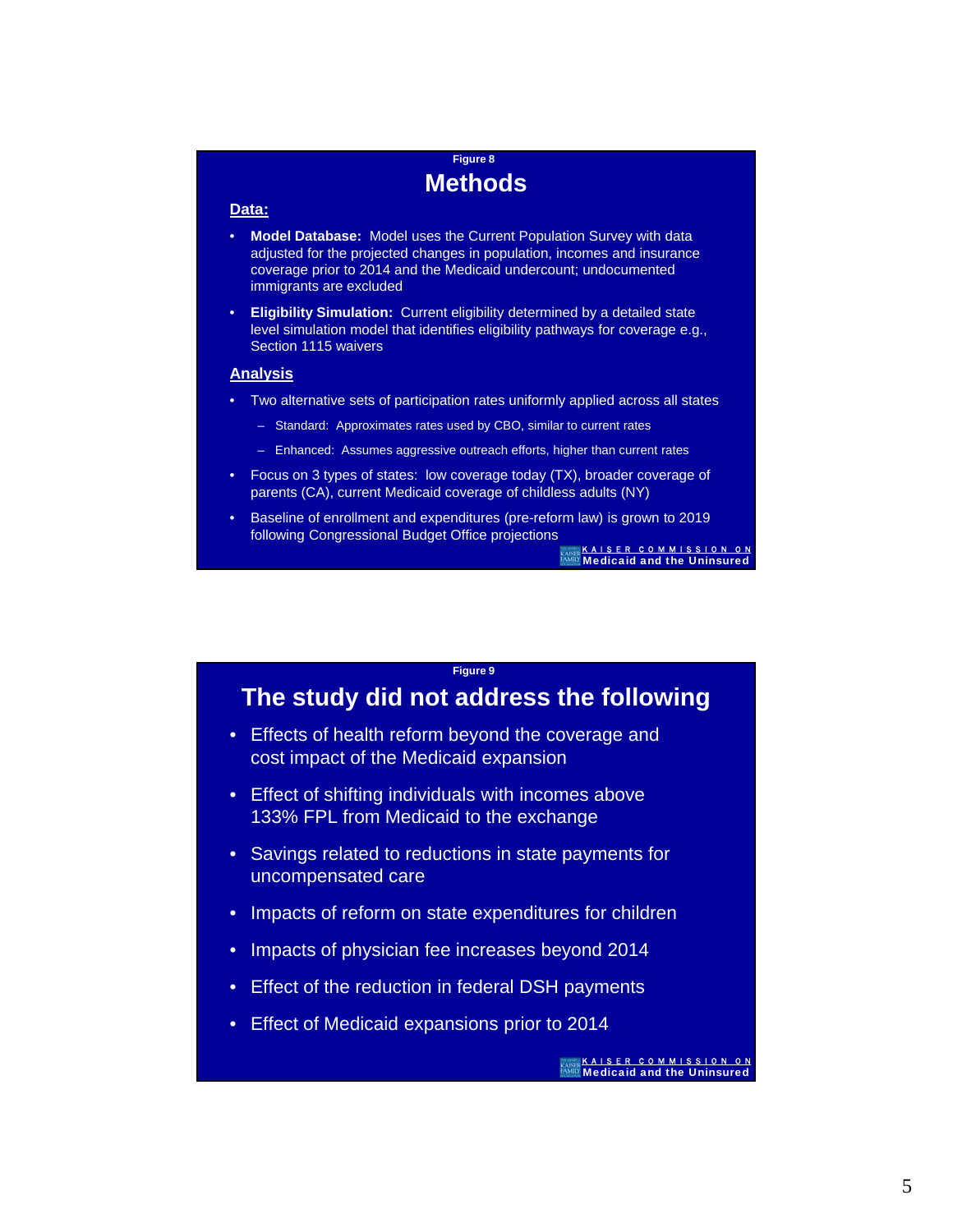## **Figure 8 Methods**

#### **Data:**

- **Model Database:** Model uses the Current Population Survey with data adjusted for the projected changes in population, incomes and insurance coverage prior to 2014 and the Medicaid undercount; undocumented immigrants are excluded
- **Eligibility Simulation:** Current eligibility determined by a detailed state level simulation model that identifies eligibility pathways for coverage e.g., Section 1115 waivers

### **Analysis**

- Two alternative sets of participation rates uniformly applied across all states
	- Standard: Approximates rates used by CBO, similar to current rates
	- Enhanced: Assumes aggressive outreach efforts, higher than current rates
- Focus on 3 types of states: low coverage today (TX), broader coverage of parents (CA), current Medicaid coverage of childless adults (NY)
- Baseline of enrollment and expenditures (pre-reform law) is grown to 2019 following Congressional Budget Office projections

K A I S E R C O M M I S S I O N O N Medicaid and the Uninsured

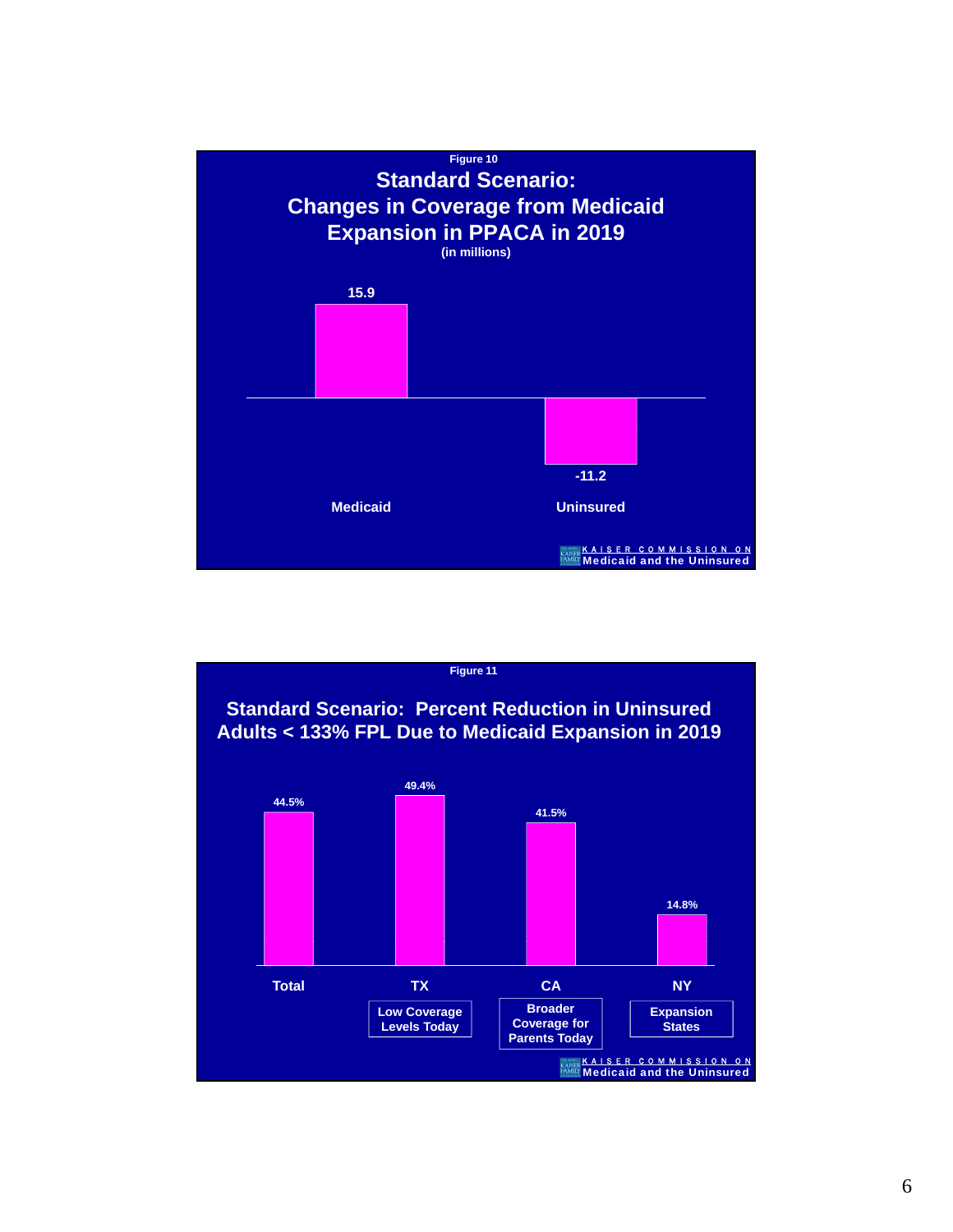

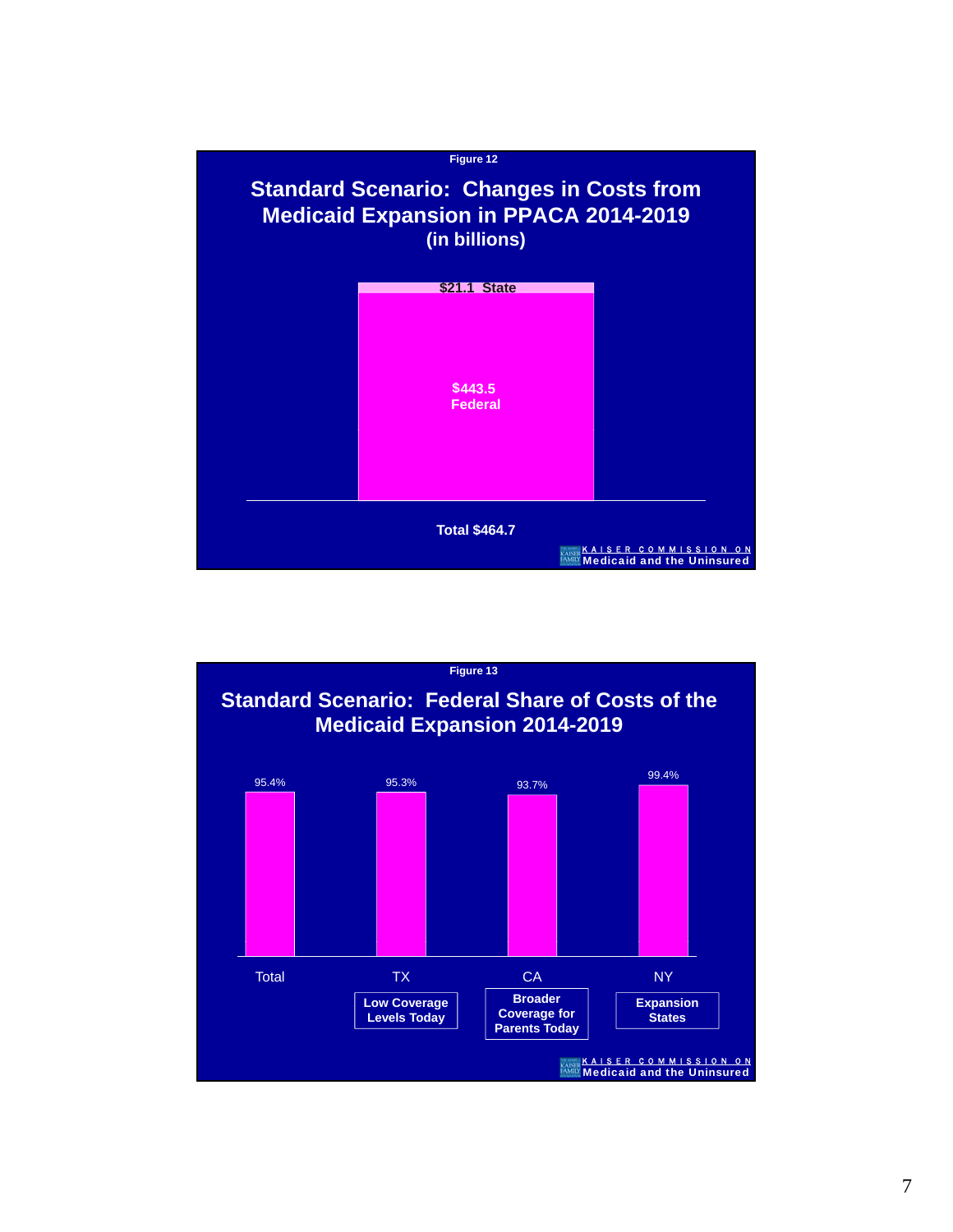

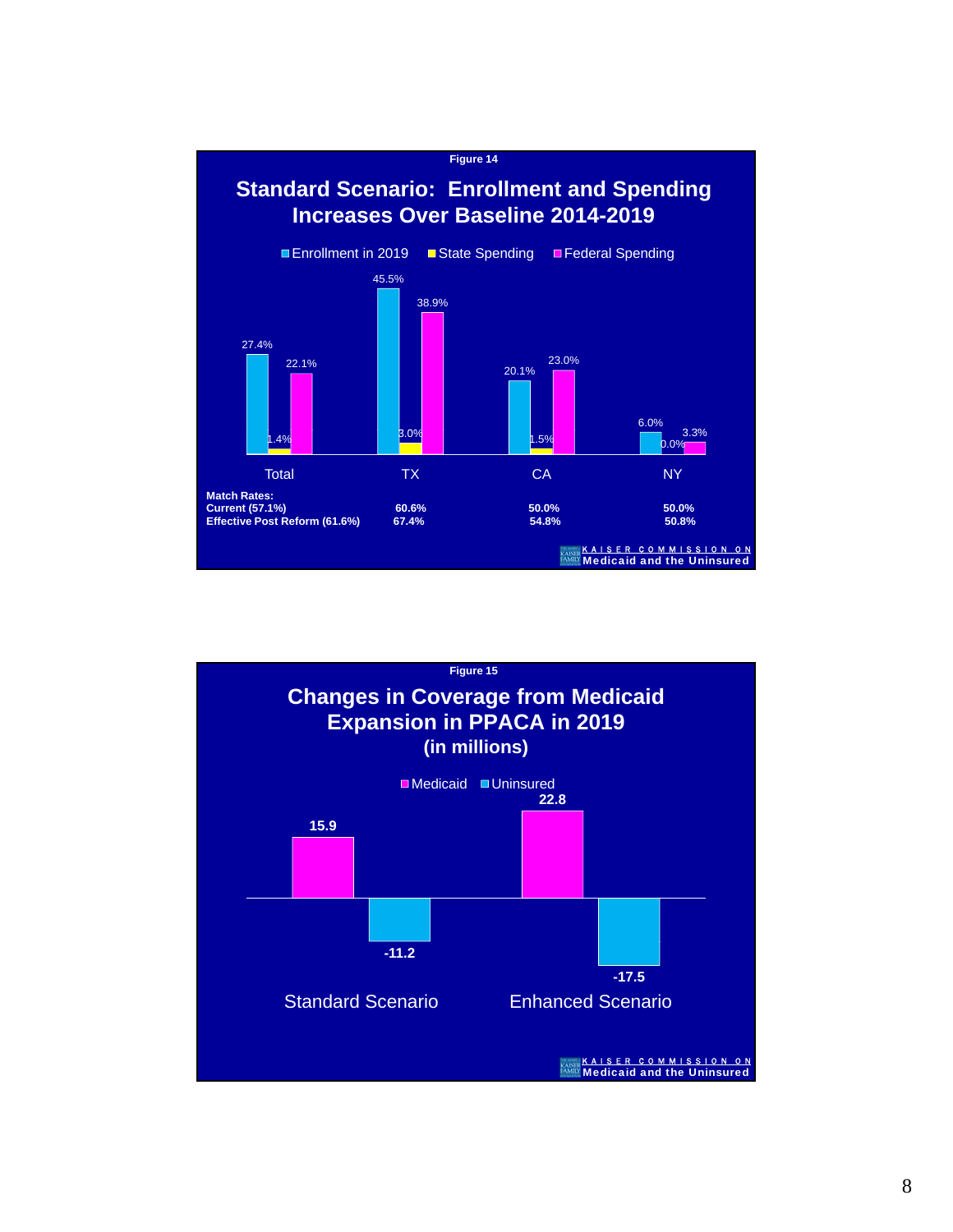

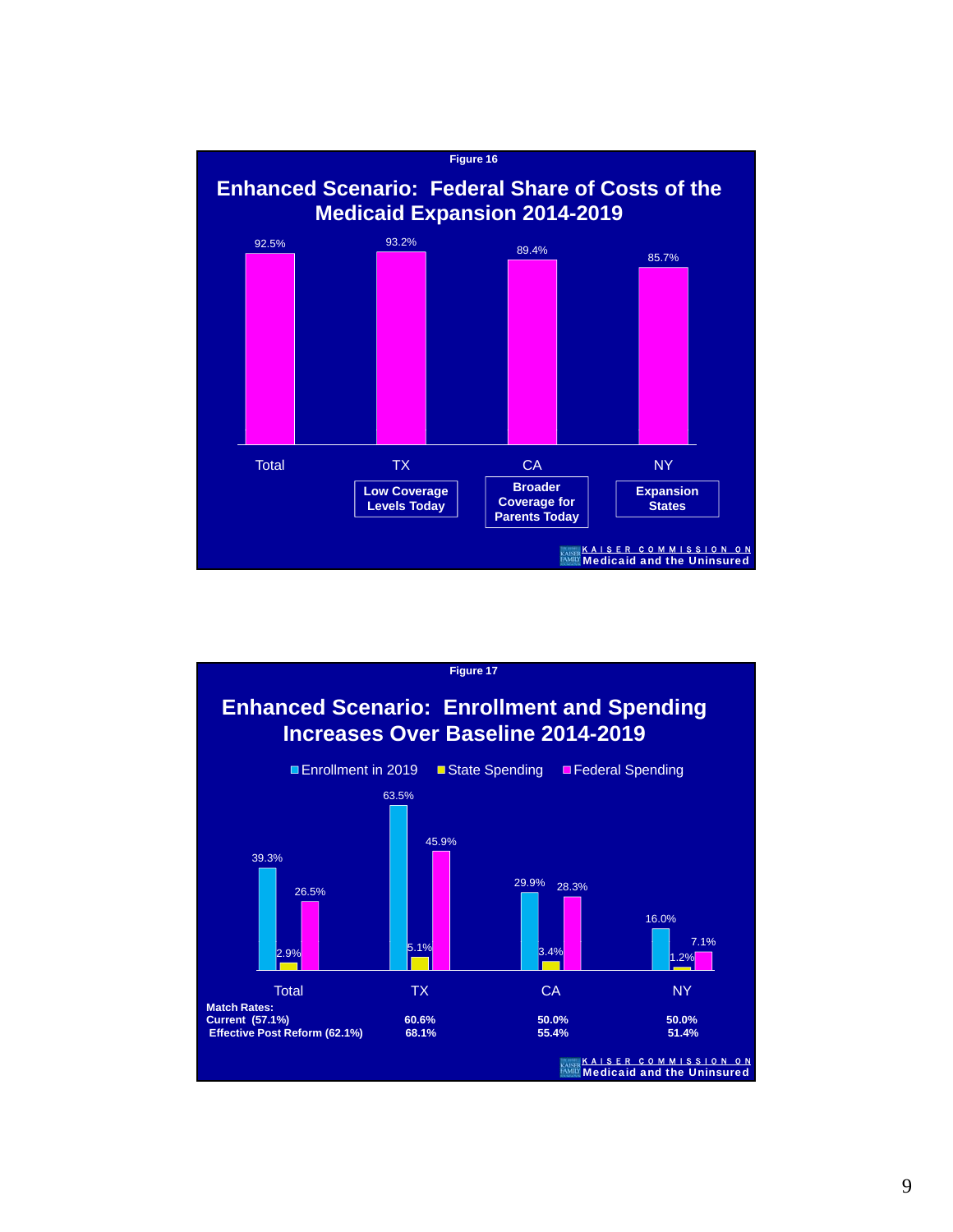